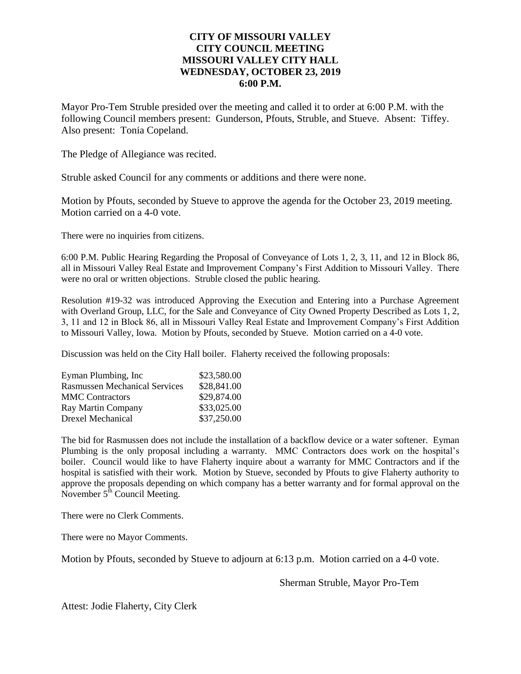## **CITY OF MISSOURI VALLEY CITY COUNCIL MEETING MISSOURI VALLEY CITY HALL WEDNESDAY, OCTOBER 23, 2019 6:00 P.M.**

Mayor Pro-Tem Struble presided over the meeting and called it to order at 6:00 P.M. with the following Council members present: Gunderson, Pfouts, Struble, and Stueve. Absent: Tiffey. Also present: Tonia Copeland.

The Pledge of Allegiance was recited.

Struble asked Council for any comments or additions and there were none.

Motion by Pfouts, seconded by Stueve to approve the agenda for the October 23, 2019 meeting. Motion carried on a 4-0 vote.

There were no inquiries from citizens.

6:00 P.M. Public Hearing Regarding the Proposal of Conveyance of Lots 1, 2, 3, 11, and 12 in Block 86, all in Missouri Valley Real Estate and Improvement Company's First Addition to Missouri Valley. There were no oral or written objections. Struble closed the public hearing.

Resolution #19-32 was introduced Approving the Execution and Entering into a Purchase Agreement with Overland Group, LLC, for the Sale and Conveyance of City Owned Property Described as Lots 1, 2, 3, 11 and 12 in Block 86, all in Missouri Valley Real Estate and Improvement Company's First Addition to Missouri Valley, Iowa. Motion by Pfouts, seconded by Stueve. Motion carried on a 4-0 vote.

Discussion was held on the City Hall boiler. Flaherty received the following proposals:

| Eyman Plumbing, Inc.                 | \$23,580.00 |
|--------------------------------------|-------------|
| <b>Rasmussen Mechanical Services</b> | \$28,841.00 |
| <b>MMC</b> Contractors               | \$29,874.00 |
| Ray Martin Company                   | \$33,025.00 |
| <b>Drexel Mechanical</b>             | \$37,250.00 |

The bid for Rasmussen does not include the installation of a backflow device or a water softener. Eyman Plumbing is the only proposal including a warranty. MMC Contractors does work on the hospital's boiler. Council would like to have Flaherty inquire about a warranty for MMC Contractors and if the hospital is satisfied with their work. Motion by Stueve, seconded by Pfouts to give Flaherty authority to approve the proposals depending on which company has a better warranty and for formal approval on the November  $5^{\text{th}}$  Council Meeting.

There were no Clerk Comments.

There were no Mayor Comments.

Motion by Pfouts, seconded by Stueve to adjourn at 6:13 p.m. Motion carried on a 4-0 vote.

Sherman Struble, Mayor Pro-Tem

Attest: Jodie Flaherty, City Clerk